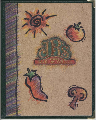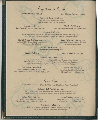Appetizers & Salads

Oyster Shooters 1.25 each

Bay Shrimp Shooters .99 each

### Northwest Oyster Salad 6.75 Pan-Fried Oysters, Diced Tomatoes and

Cucumbers with a Sweet Wasabi Vinaigrette

Calamari Fritti 4.95 Deep-Fried and Served with Lemon-Basil Aïoli

Slough of Sliders 4.95 Four Mini Burgers Served with Two Dipping Sauces

# Spinach Salad 5.95

Fresh Spinach Leaves, Mushrooms, Artichoke Hearts, Tomatoes, Avocado and Asiago Cheese Tossed in a Light Feta Cheese Vinalgrette Dressing and Served on a Mushroom Pancake

Stuffed Portobello Mushroom 5.95 Stuffed with Herb Cream Cheese, Lightly Breaded and Served on a Bed of Pamodoro

Spicy Chile Rock Shrimp 5.95 Seared Rock Shrimp in a Sweet Chile Glaze Served with Avocado Salsa

Tossed Caesar Salad 3.95 With Chicken or Bay Shrimp 5.25

House Salad 1.75

#### Bowl of Buffalo Chili 4.25

# Alfonso's Tostada Salad 6.75

A Large Flour Tortilla Bowl Filled with Crisp Salad Greens, Tomatoes, Green Onions, Olives, Jack and Cheddar Cheese and Salsa, Topped with Sour Cream and Guacamole. Served with Your Choice of Bay Shrimp, Rotisserie Chicken or Broiled Beefsteak

**Brick Oven Quesadillas** 

With Jack Cheese and Green Chiles 3.25 With Jack Cheese and Rotisserie Garlic Chicken 4.95

# **Prairie Fire Drumettes**

Served with Blue Cheese Dipping Sauce 1/2 Pound 3.95 1 Pound 5.95

Sandwiches

Served With Your Choice of Vegetable Chips, Natural-Cut French Fries or Potato Salad

# Rotisserie Deli Sandwiches 4.95

Select Roasted Turkey, Ham or Beef with Jack, Cheddar or Swiss on Your Choice of Freshly Baked Breads. Enjoy a Half Sandwich and Cup of Soup for the Same Price

#### Italian Meat Loaf 5.25

Herbed, Oven-Baked Meat Loaf with Sweet Pomodoro Sauce, Served on a French Roll

Smoked Turkey Reuben 5.75 Thinly Sliced Smoked Tiarkey with Sunss Cheese, Coleslaw, and Thousand Island Dressing

# Gold Country Club 5.75

Thinly Sliced Smoked Turkey Breast, Tomatoes, Bermuda Onions, Sprouts, Avocado and Jack Cheese Served on a Flaky Croissant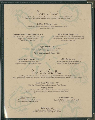# Burgers in Things

Served with Sliced Bermuda Onion, Tomatoes, Leaf Lettuce and Onion Straws with Your Choice of Natural-Cut French Fries, Vegetable Chips or Potato Salad

#### Buffalo Bill Burger 6.95

Lean Ground Buffalo Patty with BBQ Sauce and Peppered Bacon Served on a Kaiser Roll

# Southwestern Chicken Sandwich 6.25

Grilled Skinless Breast of Chicken with Green Chiles, Pepper-Jack Cheese and Avocado Served on a Kaiser Roll

#### J.R.'s Mondo Burger 6.95

One-Half Pound Ground Beef Patty with a Fried Egg. Peppered Bacon, Green Chiles and Cheddar Cheese Served on a Kaiser Roll

#### Veggie Burger 5.25

Vegetarian Burger Patty with Marinated Red Onions Served on a Whole Wheat Kaiser Roll With Mushrooms and Cheese 5.75

## Roasted Garlic Burger 5.50

One-Half Pound Beef Patty Laced with Fresh-Roasted Garlic with Jack Cheese

# Chili Burger 6.50

One-Half Pound Beef Patty Smothered in Buffalo Chili and Topped with Cheese

Brick Oven-Fired Pizzas

Each Pizza is Handmade with Gourmet-Flavored Dough from Our Bakery, Then Topped with a Blend of Mozzarella, Fontina and Provolone Cheeses. Sauces Include Italian Pomodoro or Pesto. All Pizzas are 10"

#### Create Your Own Pizza 7.95 With Your Choice of Sauces and a Selection of Three Toppings

Toppings Include: Roasted Garlic, Artichoke Hearts, Wild Mushrooms, Olives, Pepperoni, Italian Sausage, Rotisserie Chicken, Roma Tomatoes or Grilled Sirloin

Urban Cowboy 7.95 Roasted Garlic, Olives, Sun-Dried Tomatoes, Artichoke Hearts and Basil Pesto

Northwestern 8.25 Sweet Rock Shrimp, Peppers, Leeks, and Sun-Dried Tomato Pesto

Pollo Loco 8.25 Rotisserie-Roasted Chicken, Olives and Wild Mushrooms with Garlic-Infused Olive Oil